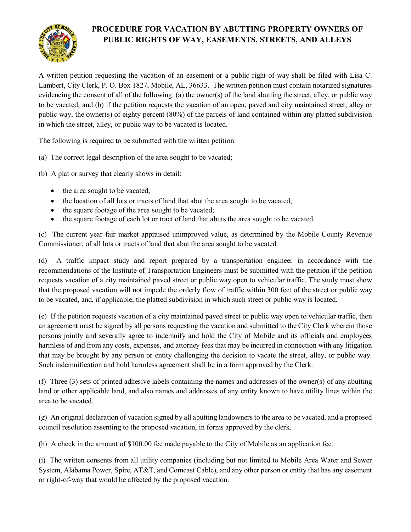

# **PROCEDURE FOR VACATION BY ABUTTING PROPERTY OWNERS OF PUBLIC RIGHTS OF WAY, EASEMENTS, STREETS, AND ALLEYS**

A written petition requesting the vacation of an easement or a public right-of-way shall be filed with Lisa C. Lambert, City Clerk, P. O. Box 1827, Mobile, AL, 36633. The written petition must contain notarized signatures evidencing the consent of all of the following: (a) the owner(s) of the land abutting the street, alley, or public way to be vacated; and (b) if the petition requests the vacation of an open, paved and city maintained street, alley or public way, the owner(s) of eighty percent (80%) of the parcels of land contained within any platted subdivision in which the street, alley, or public way to be vacated is located.

The following is required to be submitted with the written petition:

(a) The correct legal description of the area sought to be vacated;

(b) A plat or survey that clearly shows in detail:

- the area sought to be vacated;
- the location of all lots or tracts of land that abut the area sought to be vacated;
- the square footage of the area sought to be vacated;
- the square footage of each lot or tract of land that abuts the area sought to be vacated.

(c) The current year fair market appraised unimproved value, as determined by the Mobile County Revenue Commissioner, of all lots or tracts of land that abut the area sought to be vacated.

(d) A traffic impact study and report prepared by a transportation engineer in accordance with the recommendations of the Institute of Transportation Engineers must be submitted with the petition if the petition requests vacation of a city maintained paved street or public way open to vehicular traffic. The study must show that the proposed vacation will not impede the orderly flow of traffic within 300 feet of the street or public way to be vacated, and, if applicable, the platted subdivision in which such street or public way is located.

(e) If the petition requests vacation of a city maintained paved street or public way open to vehicular traffic, then an agreement must be signed by all persons requesting the vacation and submitted to the City Clerk wherein those persons jointly and severally agree to indemnify and hold the City of Mobile and its officials and employees harmless of and from any costs, expenses, and attorney fees that may be incurred in connection with any litigation that may be brought by any person or entity challenging the decision to vacate the street, alley, or public way. Such indemnification and hold harmless agreement shall be in a form approved by the Clerk.

(f) Three (3) sets of printed adhesive labels containing the names and addresses of the owner(s) of any abutting land or other applicable land, and also names and addresses of any entity known to have utility lines within the area to be vacated.

(g) An original declaration of vacation signed by all abutting landowners to the area to be vacated, and a proposed council resolution assenting to the proposed vacation, in forms approved by the clerk.

(h) A check in the amount of \$100.00 fee made payable to the City of Mobile as an application fee.

(i) The written consents from all utility companies (including but not limited to Mobile Area Water and Sewer System, Alabama Power, Spire, AT&T, and Comcast Cable), and any other person or entity that has any easement or right-of-way that would be affected by the proposed vacation.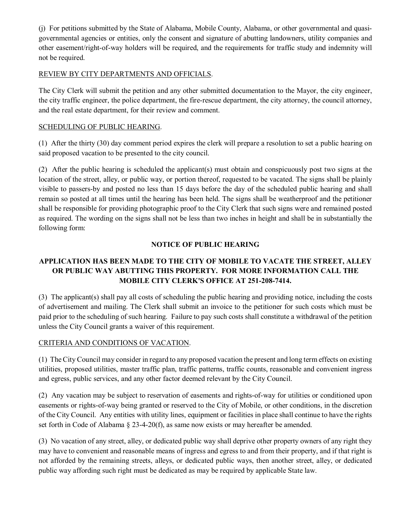(j) For petitions submitted by the State of Alabama, Mobile County, Alabama, or other governmental and quasigovernmental agencies or entities, only the consent and signature of abutting landowners, utility companies and other easement/right-of-way holders will be required, and the requirements for traffic study and indemnity will not be required.

## REVIEW BY CITY DEPARTMENTS AND OFFICIALS.

The City Clerk will submit the petition and any other submitted documentation to the Mayor, the city engineer, the city traffic engineer, the police department, the fire-rescue department, the city attorney, the council attorney, and the real estate department, for their review and comment.

## SCHEDULING OF PUBLIC HEARING.

(1) After the thirty (30) day comment period expires the clerk will prepare a resolution to set a public hearing on said proposed vacation to be presented to the city council.

(2) After the public hearing is scheduled the applicant(s) must obtain and conspicuously post two signs at the location of the street, alley, or public way, or portion thereof, requested to be vacated. The signs shall be plainly visible to passers-by and posted no less than 15 days before the day of the scheduled public hearing and shall remain so posted at all times until the hearing has been held. The signs shall be weatherproof and the petitioner shall be responsible for providing photographic proof to the City Clerk that such signs were and remained posted as required. The wording on the signs shall not be less than two inches in height and shall be in substantially the following form:

## **NOTICE OF PUBLIC HEARING**

## **APPLICATION HAS BEEN MADE TO THE CITY OF MOBILE TO VACATE THE STREET, ALLEY OR PUBLIC WAY ABUTTING THIS PROPERTY. FOR MORE INFORMATION CALL THE MOBILE CITY CLERK'S OFFICE AT 251-208-7414.**

(3) The applicant(s) shall pay all costs of scheduling the public hearing and providing notice, including the costs of advertisement and mailing. The Clerk shall submit an invoice to the petitioner for such costs which must be paid prior to the scheduling of such hearing. Failure to pay such costs shall constitute a withdrawal of the petition unless the City Council grants a waiver of this requirement.

## CRITERIA AND CONDITIONS OF VACATION.

(1) The City Council may consider in regard to any proposed vacation the present and long term effects on existing utilities, proposed utilities, master traffic plan, traffic patterns, traffic counts, reasonable and convenient ingress and egress, public services, and any other factor deemed relevant by the City Council.

(2) Any vacation may be subject to reservation of easements and rights-of-way for utilities or conditioned upon easements or rights-of-way being granted or reserved to the City of Mobile, or other conditions, in the discretion of the City Council. Any entities with utility lines, equipment or facilities in place shall continue to have the rights set forth in Code of Alabama § 23-4-20(f), as same now exists or may hereafter be amended.

(3) No vacation of any street, alley, or dedicated public way shall deprive other property owners of any right they may have to convenient and reasonable means of ingress and egress to and from their property, and if that right is not afforded by the remaining streets, alleys, or dedicated public ways, then another street, alley, or dedicated public way affording such right must be dedicated as may be required by applicable State law.